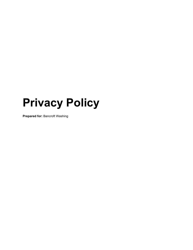# **Privacy Policy**

**Prepared for:** Bancroft Washing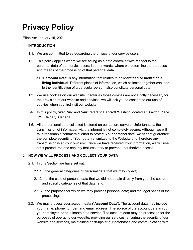# **Privacy Policy**

Effective: January 15, 2021

#### 1. **INTRODUCTION**

- 1.1. We are committed to safeguarding the privacy of our service users.
- 1.2. This policy applies where we are acting as a data controller with respect to the personal data of our service users; in other words, where we determine the purposes and means of the processing of that personal data.
	- 1.2.1. "**Personal Data**" is any information that relates to an **identified or identifiable living individual**. Different pieces of information, which collected together can lead to the identification of a particular person, also constitute personal data.
- 1.3. We use cookies on our website. Insofar as those cookies are not strictly necessary for the provision of our website and services, we will ask you to consent to our use of cookies when you first visit our website.
- 1.4. In this policy, "**we**", "**us**" and "**our**" refers to Bancroft Washing located at Braxton Place SW, Calgary, Canada.
- 1.5. All the personal data collected is stored on our secure servers. Unfortunately, the transmission of information via the internet is not completely secure. Although we will take reasonable commercial effort to protect Your personal data, we cannot guarantee the complete security of Your data transmitted to the Website and therefore any transmission is at Your own risk. Once we have received Your information, we will use strict procedures and security features to try to prevent unauthorized access.

## 2. **HOW WE WILL PROCESS AND COLLECT YOUR DATA**

- 2.1. In this Section we have set out:
	- 2.1.1. the general categories of personal data that we may collect;
	- 2.1.2. In the case of personal data that we did not obtain directly from you, the source and specific categories of that data; and,
	- 2.1.3. the purposes for which we may process personal data; and the legal bases of the processing.
- 2.2. We may process your account data ("**Account Data**"). The account data may include your name, phone number, and email address. The source of the account data is you, your employer, or an alienate data service. The account data may be processed for the purposes of operating our website, providing our services, ensuring the security of our website and services, maintaining back-ups of our databases and communicating with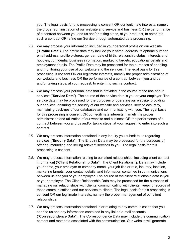you. The legal basis for this processing is consent OR our legitimate interests, namely the proper administration of our website and service and business OR the performance of a contract between you and us and/or taking steps, at your request, to enter into such a contract OR refine our Service through automated data processing.

- 2.3. We may process your information included in your personal profile on our website ("**Profile Data**"). The profile data may include your name, address, telephone number, email address, profile pictures, gender, date of birth, relationship status, interests and hobbies, confidential business information, marketing targets, educational details and employment details. The Profile Data may be processed for the purposes of enabling and monitoring your use of our website and the services. The legal basis for this processing is consent OR our legitimate interests, namely the proper administration of our website and business OR the performance of a contract between you and us and/or taking steps, at your request, to enter into such a contract.
- 2.4. We may process your personal data that is provided in the course of the use of our services ("**Service Data**"). The source of the service data is you or your employer. The service data may be processed for the purposes of operating our website, providing our services, ensuring the security of our website and services, service accuracy, maintaining back-ups of our databases and communicating with you. The legal basis for this processing is consent OR our legitimate interests, namely the proper administration and utilization of our website and business OR the performance of a contract between you and us and/or taking steps, at your request, to enter into such a contract.
- 2.5. We may process information contained in any inquiry you submit to us regarding services ("**Enquiry Data**"). The Enquiry Data may be processed for the purposes of offering, marketing and selling relevant services to you. The legal basis for this processing is consent.
- 2.6. We may process information relating to our client relationships, including client contact information] ("**Client Relationship Data**"). The Client Relationship Data may include your name, your employer or company name, your job title or role, industry, location, marketing targets, your contact details, and information contained in communications between us and you or your employer. The source of the client relationship data is you or your employer. The Client Relationship Data may be processed for the purposes of managing our relationships with clients, communicating with clients, keeping records of those communications and our services to clients. The legal basis for this processing is consent OR our legitimate interests, namely the proper management of our client relationships.
- 2.7. We may process information contained in or relating to any communication that you send to us and any information contained in any linked e-mail accounts ("**Correspondence Data**"). The Correspondence Data may include the communication content and metadata associated with the communication. Our website will generate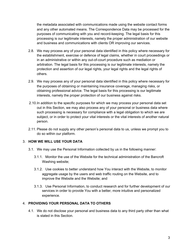the metadata associated with communications made using the website contact forms and any other automated means. The Correspondence Data may be processed for the purposes of communicating with you and record-keeping. The legal basis for this processing is our legitimate interests, namely the proper administration of our website and business and communications with clients OR improving our services.

- 2.8. We may process any of your personal data identified in this policy where necessary for the establishment, exercise or defence of legal claims, whether in court proceedings or in an administrative or within any out-of-court procedure such as mediation or arbitration. The legal basis for this processing is our legitimate interests, namely the protection and assertion of our legal rights, your legal rights and the legal rights of others.
- 2.9. We may process any of your personal data identified in this policy where necessary for the purposes of obtaining or maintaining insurance coverage, managing risks, or obtaining professional advice. The legal basis for this processing is our legitimate interests, namely the proper protection of our business against risks.
- 2.10.In addition to the specific purposes for which we may process your personal data set out in this Section, we may also process any of your personal or business data where such processing is necessary for compliance with a legal obligation to which we are subject, or in order to protect your vital interests or the vital interests of another natural person.
- 2.11. Please do not supply any other person's personal data to us, unless we prompt you to do so within our platform.

## 3. **HOW WE WILL USE YOUR DATA**

- 3.1. We may use the Personal Information collected by us in the following manner:
	- 3.1.1. Monitor the use of the Website for the technical administration of the Bancroft Washing website;
	- 3.1.2. Use cookies to better understand how You interact with the Website, to monitor aggregate usage by the users and web traffic routing on the Website, and to improve the Website and the Website; and
	- 3.1.3. Use Personal Information, to conduct research and for further development of our services in order to provide You with a better, more intuitive and personalized experience.

#### 4. **PROVIDING YOUR PERSONAL DATA TO OTHERS**

4.1. We do not disclose your personal and business data to any third party other than what is stated in this Section.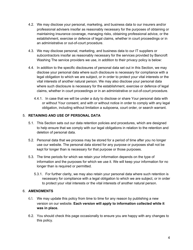- 4.2. We may disclose your personal, marketing, and business data to our insurers and/or professional advisers insofar as reasonably necessary for the purposes of obtaining or maintaining insurance coverage, managing risks, obtaining professional advice, or the establishment, exercise or defence of legal claims, whether in court proceedings or in an administrative or out-of-court procedure.
- 4.3. We may disclose personal, marketing, and business data to our IT suppliers or subcontractors insofar as reasonably necessary for the services provided by Bancroft Washing The service providers we use, in addition to their privacy policy is below:
- 4.4. In addition to the specific disclosures of personal data set out in this Section, we may disclose your personal data where such disclosure is necessary for compliance with a legal obligation to which we are subject, or in order to protect your vital interests or the vital interests of another natural person. We may also disclose your personal data where such disclosure is necessary for the establishment, exercise or defence of legal claims, whether in court proceedings or in an administrative or out-of-court procedure.
	- 4.4.1. In case that we will be under a duty to disclose or share Your personal data with or without Your consent, and with or without notice in order to comply with any legal obligation, including without limitation a subpoena, court order, or search warrant.

# 5. **RETAINING AND USE OF PERSONAL DATA**

- 5.1. This Section sets out our data retention policies and procedures, which are designed to help ensure that we comply with our legal obligations in relation to the retention and deletion of personal data.
- 5.2. Personal data that we process may be stored for a period of time after you no longer use our website. The personal data stored for any purpose or purposes shall not be kept for longer than is necessary for that purpose or those purposes.
- 5.3. The time periods for which we retain your information depends on the type of information and the purposes for which we use it. We will keep your information for no longer than is required or permitted.
	- 5.3.1. For further clarity, we may also retain your personal data where such retention is necessary for compliance with a legal obligation to which we are subject, or in order to protect your vital interests or the vital interests of another natural person.

## 6. **AMENDMENTS**

- 6.1. We may update this policy from time to time for any reason by publishing a new version on our website. **Each version will apply to information collected while it was in place.**
- 6.2. You should check this page occasionally to ensure you are happy with any changes to this policy.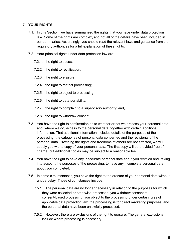## 7. **YOUR RIGHTS**

- 7.1. In this Section, we have summarized the rights that you have under data protection law. Some of the rights are complex, and not all of the details have been included in our summaries. Accordingly, you should read the relevant laws and guidance from the regulatory authorities for a full explanation of these rights.
- 7.2. Your principal rights under data protection law are:
	- 7.2.1. the right to access;
	- 7.2.2. the right to rectification;
	- 7.2.3. the right to erasure;
	- 7.2.4. the right to restrict processing;
	- 7.2.5. the right to object to processing;
	- 7.2.6. the right to data portability;
	- 7.2.7. the right to complain to a supervisory authority; and,
	- 7.2.8. the right to withdraw consent.
- 7.3. You have the right to confirmation as to whether or not we process your personal data and, where we do, access to the personal data, together with certain additional information. That additional information includes details of the purposes of the processing, the categories of personal data concerned and the recipients of the personal data. Providing the rights and freedoms of others are not affected, we will supply you with a copy of your personal data. The first copy will be provided free of charge, but additional copies may be subject to a reasonable fee.
- 7.4. You have the right to have any inaccurate personal data about you rectified and, taking into account the purposes of the processing, to have any incomplete personal data about you completed.
- 7.5. In some circumstances, you have the right to the erasure of your personal data without undue delay. Those circumstances include:
	- 7.5.1. The personal data are no longer necessary in relation to the purposes for which they were collected or otherwise processed; you withdraw consent to consent-based processing; you object to the processing under certain rules of applicable data protection law; the processing is for direct marketing purposes, and the personal data have been unlawfully processed.
	- 7.5.2. However, there are exclusions of the right to erasure. The general exclusions include where processing is necessary: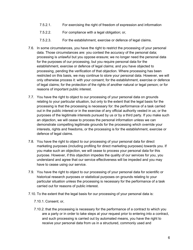- 7.5.2.1. For exercising the right of freedom of expression and information
- 7.5.2.2. For compliance with a legal obligation; or,
- 7.5.2.3. For the establishment, exercise or defence of legal claims.
- 7.6. In some circumstances, you have the right to restrict the processing of your personal data. Those circumstances are: you contest the accuracy of the personal data; processing is unlawful but you oppose erasure; we no longer need the personal data for the purposes of our processing, but you require personal data for the establishment, exercise or defence of legal claims; and you have objected to processing, pending the verification of that objection. Where processing has been restricted on this basis, we may continue to store your personal data. However, we will only otherwise process it: with your consent; for the establishment, exercise or defence of legal claims; for the protection of the rights of another natural or legal person; or for reasons of important public interest.
- 7.7. You have the right to object to our processing of your personal data on grounds relating to your particular situation, but only to the extent that the legal basis for the processing is that the processing is necessary for: the performance of a task carried out in the public interest or in the exercise of any official authority vested in us; or the purposes of the legitimate interests pursued by us or by a third party. If you make such an objection, we will cease to process the personal information unless we can demonstrate compelling legitimate grounds for the processing which override your interests, rights and freedoms, or the processing is for the establishment, exercise or defence of legal claims.
- 7.8. You have the right to object to our processing of your personal data for direct marketing purposes (including profiling for direct marketing purposes) towards you. If you make such an objection, we will cease to process your personal data for this purpose. However, if this objection impedes the quality of our services for you, you understand and agree that our service effectiveness will be impeded and you may have to cease using our service.
- 7.9. You have the right to object to our processing of your personal data for scientific or historical research purposes or statistical purposes on grounds relating to your particular situation unless the processing is necessary for the performance of a task carried out for reasons of public interest.
- 7.10. To the extent that the legal basis for our processing of your personal data is:
	- 7.10.1. Consent; or,
	- 7.10.2. that the processing is necessary for the performance of a contract to which you are a party or in order to take steps at your request prior to entering into a contract, and such processing is carried out by automated means, you have the right to receive your personal data from us in a structured, commonly used and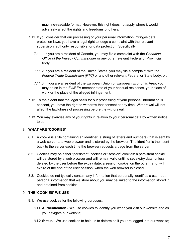machine-readable format. However, this right does not apply where it would adversely affect the rights and freedoms of others.

- 7.11. If you consider that our processing of your personal information infringes data protection laws, you have a legal right to lodge a complaint with the relevant supervisory authority responsible for data protection. Specifically,
	- 7.11.1. If you are a resident of Canada, you may file a complaint with the *Canadian Office of the Privacy Commissioner* or any other relevant Federal or Provincial body;
	- 7.11.2. If you are a resident of the United States, you may file a complaint with the *Federal Trade Commission (FTC)* or any other relevant Federal or State body; or,
	- 7.11.3. If you are a resident of the European Union or European Economic Area, you may do so in the EU/EEA member state of your habitual residence, your place of work or the place of the alleged infringement.
- 7.12. To the extent that the legal basis for our processing of your personal information is consent, you have the right to withdraw that consent at any time. Withdrawal will not affect the lawfulness of processing before the withdrawal.
- 7.13. You may exercise any of your rights in relation to your personal data by written notice to us.

# 8. **WHAT ARE 'COOKIES'**

- 8.1. A cookie is a file containing an identifier (a string of letters and numbers) that is sent by a web server to a web browser and is stored by the browser. The identifier is then sent back to the server each time the browser requests a page from the server.
- 8.2. Cookies may be either "persistent" cookies or "session" cookies: a persistent cookie will be stored by a web browser and will remain valid until its set expiry date, unless deleted by the user before the expiry date; a session cookie, on the other hand, will expire at the end of the user session, when the web browser is closed.
- 8.3. Cookies do not typically contain any information that personally identifies a user, but personal information that we store about you may be linked to the information stored in and obtained from cookies.

## 9. **THE 'COOKIES' WE USE**

- 9.1. We use cookies for the following purposes:
	- 9.1.1. **Authentication** We use cookies to identify you when you visit our website and as you navigate our website;
	- 9.1.2.**Status** We use cookies to help us to determine if you are logged into our website;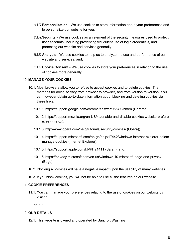- 9.1.3.**Personalization** We use cookies to store information about your preferences and to personalize our website for you;
- 9.1.4.**Security** We use cookies as an element of the security measures used to protect user accounts, including preventing fraudulent use of login credentials, and protecting our website and services generally;
- 9.1.5. **Analysis** We use cookies to help us to analyze the use and performance of our website and services; and,
- 9.1.6.**Cookie Consent** We use cookies to store your preferences in relation to the use of cookies more generally.

#### 10. **MANAGE YOUR COOKIES**

- 10.1. Most browsers allow you to refuse to accept cookies and to delete cookies. The methods for doing so vary from browser to browser, and from version to version. You can however obtain up-to-date information about blocking and deleting cookies via these links:
	- 10.1.1. https://support.google.com/chrome/answer/95647?hl=en (Chrome);
	- 10.1.2. https://support.mozilla.org/en-US/kb/enable-and-disable-cookies-website-prefere nces (Firefox);
	- 10.1.3. http://www.opera.com/help/tutorials/security/cookies/ (Opera);
	- 10.1.4. https://support.microsoft.com/en-gb/help/17442/windows-internet-explorer-deletemanage-cookies (Internet Explorer);
	- 10.1.5. https://support.apple.com/kb/PH21411 (Safari); and,
	- 10.1.6. https://privacy.microsoft.com/en-us/windows-10-microsoft-edge-and-privacy (Edge).
- 10.2. Blocking all cookies will have a negative impact upon the usability of many websites.
- 10.3. If you block cookies, you will not be able to use all the features on our website.

#### 11. **COOKIE PREFERENCES**

11.1. You can manage your preferences relating to the use of cookies on our website by visiting:

11.1.1.

#### 12. **OUR DETAILS**

12.1. This website is owned and operated by Bancroft Washing